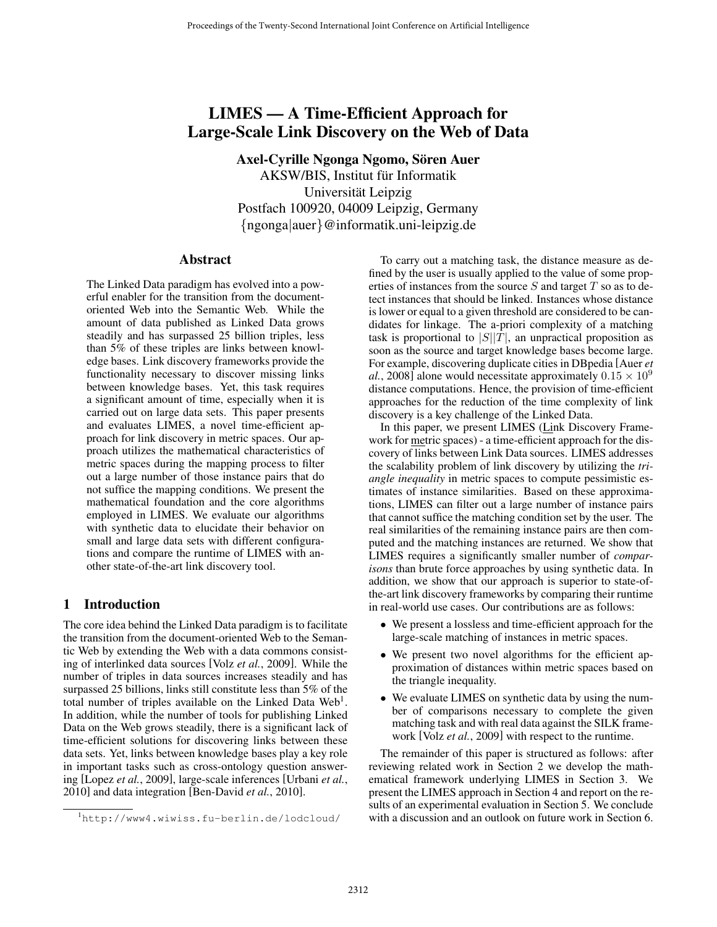# LIMES—ATime-Efficient Approach for Large-Scale Link Discovery on the Web of Data

Axel-Cyrille Ngonga Ngomo, Sören Auer AKSW/BIS, Institut für Informatik Universität Leipzig Postfach 100920, 04009 Leipzig, Germany {ngonga|auer}@informatik.uni-leipzig.de

### Abstract

The Linked Data paradigm has evolved into a powerful enabler for the transition from the documentoriented Web into the Semantic Web. While the amount of data published as Linked Data grows steadily and has surpassed 25 billion triples, less than 5% of these triples are links between knowledge bases. Link discovery frameworks provide the functionality necessary to discover missing links between knowledge bases. Yet, this task requires a significant amount of time, especially when it is carried out on large data sets. This paper presents and evaluates LIMES, a novel time-efficient approach for link discovery in metric spaces. Our approach utilizes the mathematical characteristics of metric spaces during the mapping process to filter out a large number of those instance pairs that do not suffice the mapping conditions. We present the mathematical foundation and the core algorithms employed in LIMES. We evaluate our algorithms with synthetic data to elucidate their behavior on small and large data sets with different configurations and compare the runtime of LIMES with another state-of-the-art link discovery tool.

# 1 Introduction

The core idea behind the Linked Data paradigm is to facilitate the transition from the document-oriented Web to the Semantic Web by extending the Web with a data commons consisting of interlinked data sources [Volz *et al.*, 2009]. While the number of triples in data sources increases steadily and has surpassed 25 billions, links still constitute less than 5% of the total number of triples available on the Linked Data  $Web<sup>1</sup>$ . In addition, while the number of tools for publishing Linked Data on the Web grows steadily, there is a significant lack of time-efficient solutions for discovering links between these data sets. Yet, links between knowledge bases play a key role in important tasks such as cross-ontology question answering [Lopez *et al.*, 2009], large-scale inferences [Urbani *et al.*, 2010] and data integration [Ben-David *et al.*, 2010].

To carry out a matching task, the distance measure as defined by the user is usually applied to the value of some properties of instances from the source S and target  $T$  so as to detect instances that should be linked. Instances whose distance is lower or equal to a given threshold are considered to be candidates for linkage. The a-priori complexity of a matching task is proportional to  $|S||T|$ , an unpractical proposition as soon as the source and target knowledge bases become large. For example, discovering duplicate cities in DBpedia [Auer *et al.*, 2008] alone would necessitate approximately  $0.15 \times 10^9$ distance computations. Hence, the provision of time-efficient approaches for the reduction of the time complexity of link discovery is a key challenge of the Linked Data.

In this paper, we present LIMES (Link Discovery Framework for <u>metric</u> spaces) - a time-efficient approach for the discovery of links between Link Data sources. LIMES addresses the scalability problem of link discovery by utilizing the *triangle inequality* in metric spaces to compute pessimistic estimates of instance similarities. Based on these approximations, LIMES can filter out a large number of instance pairs that cannot suffice the matching condition set by the user. The real similarities of the remaining instance pairs are then computed and the matching instances are returned. We show that LIMES requires a significantly smaller number of *comparisons* than brute force approaches by using synthetic data. In addition, we show that our approach is superior to state-ofthe-art link discovery frameworks by comparing their runtime in real-world use cases. Our contributions are as follows:

- We present a lossless and time-efficient approach for the large-scale matching of instances in metric spaces.
- We present two novel algorithms for the efficient approximation of distances within metric spaces based on the triangle inequality.
- We evaluate LIMES on synthetic data by using the number of comparisons necessary to complete the given matching task and with real data against the SILK framework [Volz *et al.*, 2009] with respect to the runtime.

The remainder of this paper is structured as follows: after reviewing related work in Section 2 we develop the mathematical framework underlying LIMES in Section 3. We present the LIMES approach in Section 4 and report on the results of an experimental evaluation in Section 5. We conclude with a discussion and an outlook on future work in Section 6.

<sup>1</sup> http://www4.wiwiss.fu-berlin.de/lodcloud/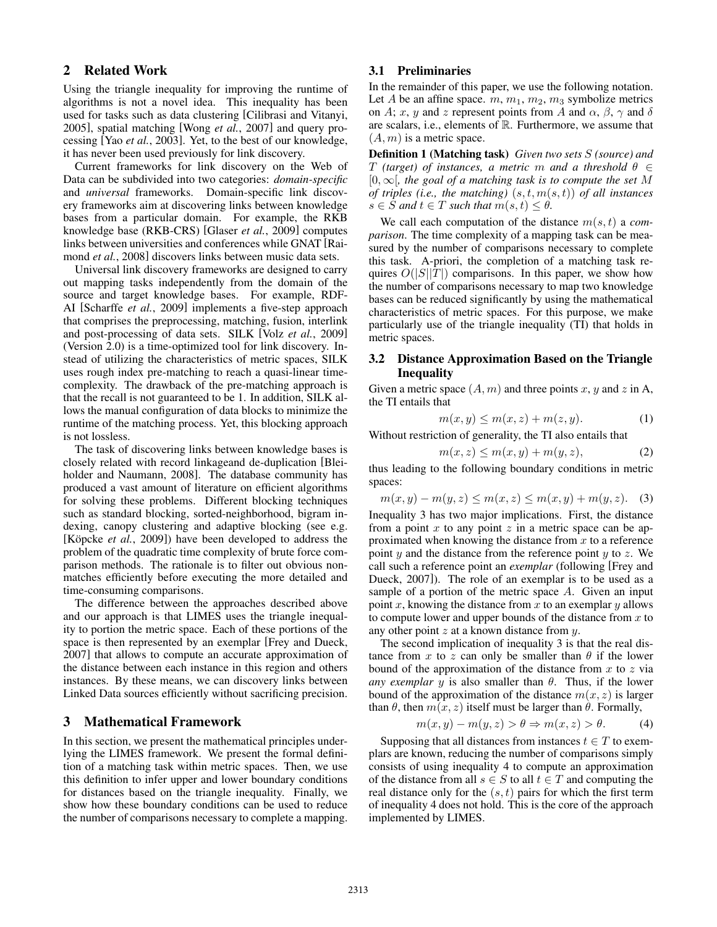# 2 Related Work

Using the triangle inequality for improving the runtime of algorithms is not a novel idea. This inequality has been used for tasks such as data clustering [Cilibrasi and Vitanyi, 2005], spatial matching [Wong *et al.*, 2007] and query processing [Yao *et al.*, 2003]. Yet, to the best of our knowledge, it has never been used previously for link discovery.

Current frameworks for link discovery on the Web of Data can be subdivided into two categories: *domain-specific* and *universal* frameworks. Domain-specific link discovery frameworks aim at discovering links between knowledge bases from a particular domain. For example, the RKB knowledge base (RKB-CRS) [Glaser *et al.*, 2009] computes links between universities and conferences while GNAT [Raimond *et al.*, 2008] discovers links between music data sets.

Universal link discovery frameworks are designed to carry out mapping tasks independently from the domain of the source and target knowledge bases. For example, RDF-AI [Scharffe *et al.*, 2009] implements a five-step approach that comprises the preprocessing, matching, fusion, interlink and post-processing of data sets. SILK [Volz *et al.*, 2009] (Version 2.0) is a time-optimized tool for link discovery. Instead of utilizing the characteristics of metric spaces, SILK uses rough index pre-matching to reach a quasi-linear timecomplexity. The drawback of the pre-matching approach is that the recall is not guaranteed to be 1. In addition, SILK allows the manual configuration of data blocks to minimize the runtime of the matching process. Yet, this blocking approach is not lossless.

The task of discovering links between knowledge bases is closely related with record linkageand de-duplication [Bleiholder and Naumann, 2008]. The database community has produced a vast amount of literature on efficient algorithms for solving these problems. Different blocking techniques such as standard blocking, sorted-neighborhood, bigram indexing, canopy clustering and adaptive blocking (see e.g. [Köpcke *et al.*, 2009]) have been developed to address the problem of the quadratic time complexity of brute force comparison methods. The rationale is to filter out obvious nonmatches efficiently before executing the more detailed and time-consuming comparisons.

The difference between the approaches described above and our approach is that LIMES uses the triangle inequality to portion the metric space. Each of these portions of the space is then represented by an exemplar [Frey and Dueck, 2007] that allows to compute an accurate approximation of the distance between each instance in this region and others instances. By these means, we can discovery links between Linked Data sources efficiently without sacrificing precision.

### 3 Mathematical Framework

In this section, we present the mathematical principles underlying the LIMES framework. We present the formal definition of a matching task within metric spaces. Then, we use this definition to infer upper and lower boundary conditions for distances based on the triangle inequality. Finally, we show how these boundary conditions can be used to reduce the number of comparisons necessary to complete a mapping.

### 3.1 Preliminaries

In the remainder of this paper, we use the following notation. Let A be an affine space.  $m, m_1, m_2, m_3$  symbolize metrics on A; x, y and z represent points from A and  $\alpha$ ,  $\beta$ ,  $\gamma$  and  $\delta$ are scalars, i.e., elements of R. Furthermore, we assume that  $(A, m)$  is a metric space.

Definition 1 (Matching task) *Given two sets* S *(source) and* T (target) of instances, a metric m and a threshold  $\theta \in$ [0, <sup>∞</sup>[*, the goal of a matching task is to compute the set* M *of triples (i.e., the matching)*  $(s, t, m(s, t))$  *of all instances*  $s \in S$  *and*  $t \in T$  *such that*  $m(s, t) \leq \theta$ .

We call each computation of the distance m(s, t) <sup>a</sup> *comparison*. The time complexity of a mapping task can be measured by the number of comparisons necessary to complete this task. A-priori, the completion of a matching task requires  $O(|S||T|)$  comparisons. In this paper, we show how the number of comparisons necessary to map two knowledge bases can be reduced significantly by using the mathematical characteristics of metric spaces. For this purpose, we make particularly use of the triangle inequality (TI) that holds in metric spaces.

### 3.2 Distance Approximation Based on the Triangle Inequality

Given a metric space  $(A, m)$  and three points x, y and z in A, the TI entails that

$$
n(x, y) \le m(x, z) + m(z, y). \tag{1}
$$

 $m(x, y) \le m(x, z) + m(z, y).$  (1)<br>Without restriction of generality, the TI also entails that

$$
m(x, z) \le m(x, y) + m(y, z), \tag{2}
$$

 $m(x, z) \le m(x, y) + m(y, z)$ , (2)<br>thus leading to the following boundary conditions in metric spaces:

$$
m(x, y) - m(y, z) \le m(x, z) \le m(x, y) + m(y, z). \tag{3}
$$

 $m(x, y) - m(y, z) \le m(x, z) \le m(x, y) + m(y, z)$ . (3)<br>Inequality 3 has two major implications. First, the distance from a point x to any point z in a metric space can be approximated when knowing the distance from  $x$  to a reference point  $y$  and the distance from the reference point  $y$  to  $z$ . We call such a reference point an *exemplar* (following [Frey and Dueck, 2007]). The role of an exemplar is to be used as a sample of a portion of the metric space A. Given an input point x, knowing the distance from x to an exemplar y allows to compute lower and upper bounds of the distance from  $x$  to any other point  $z$  at a known distance from  $y$ .

The second implication of inequality 3 is that the real distance from x to z can only be smaller than  $\theta$  if the lower bound of the approximation of the distance from  $x$  to  $z$  via *any exemplar* y is also smaller than  $\theta$ . Thus, if the lower bound of the approximation of the distance  $m(x, z)$  is larger than  $\theta$ , then  $m(x, z)$  itself must be larger than  $\theta$ . Formally,

$$
m(x, y) - m(y, z) > \theta \Rightarrow m(x, z) > \theta.
$$
 (4)

Supposing that all distances from instances  $t \in T$  to exem-<br>ars are known reducing the number of comparisons simply plars are known, reducing the number of comparisons simply consists of using inequality 4 to compute an approximation of the distance from all  $s \in S$  to all  $t \in T$  and computing the real distance only for the  $(s, t)$  pairs for which the first term of inequality 4 does not hold. This is the core of the approach implemented by LIMES.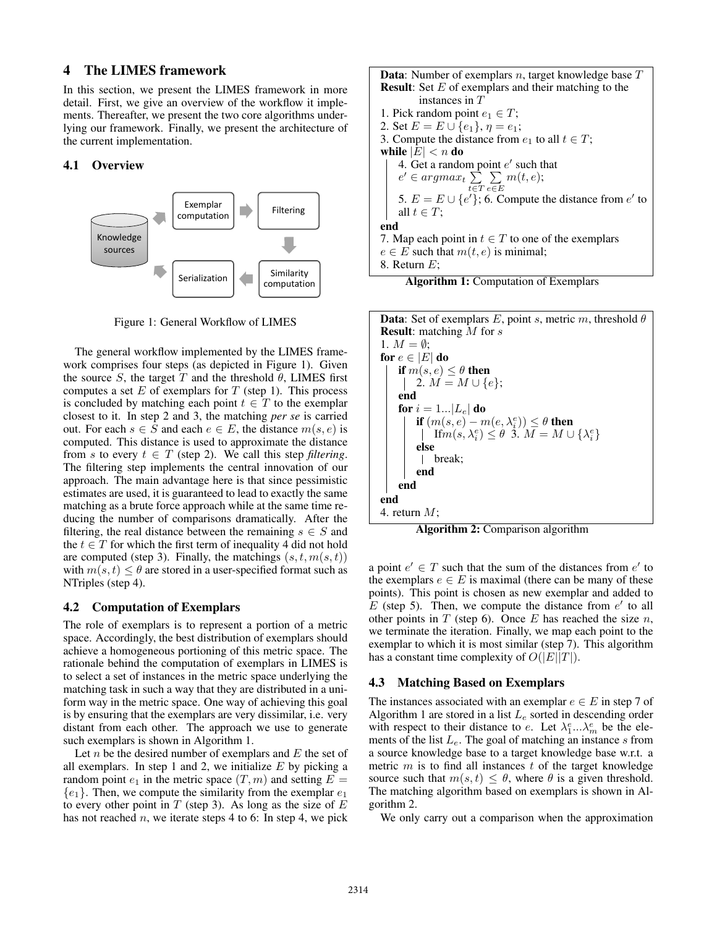# 4 The LIMES framework

In this section, we present the LIMES framework in more detail. First, we give an overview of the workflow it implements. Thereafter, we present the two core algorithms underlying our framework. Finally, we present the architecture of the current implementation.

#### 4.1 Overview



Figure 1: General Workflow of LIMES

The general workflow implemented by the LIMES framework comprises four steps (as depicted in Figure 1). Given the source S, the target T and the threshold  $\theta$ , LIMES first computes a set  $E$  of exemplars for  $T$  (step 1). This process is concluded by matching each point  $t \in T$  to the exemplar closest to it. In step 2 and 3, the matching *per se* is carried out. For each  $s \in S$  and each  $e \in E$ , the distance  $m(s, e)$  is computed. This distance is used to approximate the distance from s to every  $t \in T$  (step 2). We call this step *filtering*. The filtering step implements the central innovation of our approach. The main advantage here is that since pessimistic estimates are used, it is guaranteed to lead to exactly the same matching as a brute force approach while at the same time reducing the number of comparisons dramatically. After the filtering, the real distance between the remaining  $s \in S$  and the  $t \in T$  for which the first term of inequality 4 did not hold are computed (step 3). Finally, the matchings  $(s, t, m(s, t))$ with  $m(s, t) \leq \theta$  are stored in a user-specified format such as NTriples (step 4).

#### 4.2 Computation of Exemplars

The role of exemplars is to represent a portion of a metric space. Accordingly, the best distribution of exemplars should achieve a homogeneous portioning of this metric space. The rationale behind the computation of exemplars in LIMES is to select a set of instances in the metric space underlying the matching task in such a way that they are distributed in a uniform way in the metric space. One way of achieving this goal is by ensuring that the exemplars are very dissimilar, i.e. very distant from each other. The approach we use to generate such exemplars is shown in Algorithm 1.

Let  $n$  be the desired number of exemplars and  $E$  the set of all exemplars. In step 1 and 2, we initialize  $E$  by picking a random point  $e_1$  in the metric space  $(T, m)$  and setting  $E =$  ${e_1}$ . Then, we compute the similarity from the exemplar  $e_1$ to every other point in  $T$  (step 3). As long as the size of  $E$ has not reached  $n$ , we iterate steps 4 to 6: In step 4, we pick **Data:** Number of exemplars  $n$ , target knowledge base  $T$ **Result:** Set  $E$  of exemplars and their matching to the instances in T 1. Pick random point  $e_1 \in T$ ; 2. Set  $E = E \cup \{e_1\}, \eta = e_1;$ 3. Compute the distance from  $e_1$  to all  $t \in T$ ; while  $|E| < n$  do 4. Get a random point  $e'$ <br> $e' \in argmax_{\lambda} \sum \sum n$ 4. Get a random point  $e'$  such that  $e' \in argmax_t \sum_{t \in T}$  $t \in T$  $\sum$  $\sum_{e \in E} m(t, e);$ 5.  $E = E \cup \{e'\}$ ; 6. Compute the distance from  $e'$  to all  $t \in T$ . all  $t \in T$ ; end 7. Map each point in  $t \in T$  to one of the exemplars  $e \in E$  such that  $m(t, e)$  is minimal; 8. Return E;



```
Data: Set of exemplars E, point s, metric m, threshold \thetaResult: matching M for s1. M = \emptyset;
for e \in |E| do
    if m(s, e) \leq \theta then
      | 2. M = M \cup \{e\};end
     for i = 1...|L_e| do
          if (m(s, e) - m(e, \lambda_i^e)) \leq \theta then<br>| Ifm(s, \lambda^e) < \theta 3 M = MIf m(s, \lambda_i^e) \leq \theta 3. M = M \cup {\lambda_i^e}else
           break;
          end
    end
end
4. return M;
```
Algorithm 2: Comparison algorithm

a point  $e' \in T$  such that the sum of the distances from  $e'$  to the exemplars  $e \in E$  is maximal (there can be many of these the exemplars  $e \in E$  is maximal (there can be many of these points). This point is chosen as new exemplar and added to E (step 5). Then, we compute the distance from  $e'$  to all other points in T (step 6). Once E has reached the size n other points in  $T$  (step 6). Once  $E$  has reached the size  $n$ , we terminate the iteration. Finally, we map each point to the exemplar to which it is most similar (step 7). This algorithm has a constant time complexity of  $O(|E||T|)$ .

#### 4.3 Matching Based on Exemplars

The instances associated with an exemplar  $e \in E$  in step 7 of Algorithm 1 are stored in a list  $L_e$  sorted in descending order with respect to their distance to e. Let  $\lambda_1^e...\lambda_m^e$  be the elements of the list  $L_e$ . The goal of matching an instance s from ments of the list  $L_e$ . The goal of matching an instance s from a source knowledge base to a target knowledge base w.r.t. a metric  $m$  is to find all instances  $t$  of the target knowledge source such that  $m(s, t) \leq \theta$ , where  $\theta$  is a given threshold. The matching algorithm based on exemplars is shown in Algorithm 2.

We only carry out a comparison when the approximation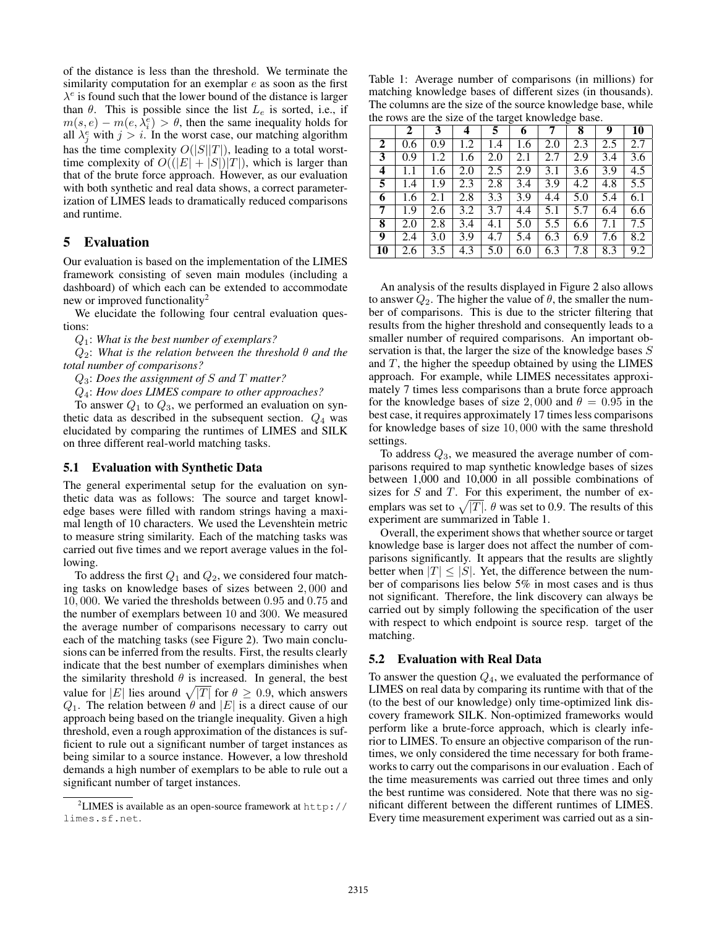of the distance is less than the threshold. We terminate the similarity computation for an exemplar e as soon as the first  $\lambda^e$  is found such that the lower bound of the distance is larger than  $\theta$ . This is possible since the list  $L_e$  is sorted, i.e., if  $m(s, e) - m(e, \overline{\lambda}_i^e) > \theta$ , then the same inequality holds for all  $\lambda_e^e$  with  $i > i$ . In the worst case, our matching algorithm all  $\lambda_j^e$  with  $j > i$ . In the worst case, our matching algorithm<br>has the time complexity  $O(|S||T|)$  leading to a total worst has the time complexity  $O(|S||T|)$ , leading to a total worsttime complexity of  $O((|E| + |S|)|T|)$ , which is larger than that of the brute force approach. However, as our evaluation with both synthetic and real data shows, a correct parameterization of LIMES leads to dramatically reduced comparisons and runtime.

# 5 Evaluation

Our evaluation is based on the implementation of the LIMES framework consisting of seven main modules (including a dashboard) of which each can be extended to accommodate new or improved functionality<sup>2</sup>

We elucidate the following four central evaluation questions:

Q<sup>1</sup>: *What is the best number of exemplars?*

Q<sup>2</sup>: *What is the relation between the threshold* θ *and the total number of comparisons?*

Q<sup>3</sup>: *Does the assignment of* S *and* T *matter?*

Q<sup>4</sup>: *How does LIMES compare to other approaches?*

To answer  $Q_1$  to  $Q_3$ , we performed an evaluation on synthetic data as described in the subsequent section.  $Q_4$  was elucidated by comparing the runtimes of LIMES and SILK on three different real-world matching tasks.

# 5.1 Evaluation with Synthetic Data

The general experimental setup for the evaluation on synthetic data was as follows: The source and target knowledge bases were filled with random strings having a maximal length of 10 characters. We used the Levenshtein metric to measure string similarity. Each of the matching tasks was carried out five times and we report average values in the following.

To address the first  $Q_1$  and  $Q_2$ , we considered four matching tasks on knowledge bases of sizes between <sup>2</sup>, <sup>000</sup> and <sup>10</sup>, <sup>000</sup>. We varied the thresholds between <sup>0</sup>.<sup>95</sup> and <sup>0</sup>.<sup>75</sup> and the number of exemplars between 10 and 300. We measured the average number of comparisons necessary to carry out each of the matching tasks (see Figure 2). Two main conclusions can be inferred from the results. First, the results clearly indicate that the best number of exemplars diminishes when the similarity threshold  $\theta$  is increased. In general, the best value for |E| lies around  $\sqrt{|T|}$  for  $\theta \ge 0.9$ , which answers  $Q_1$ . The relation between  $\theta$  and  $|E|$  is a direct cause of our approach being based on the triangle inequality. Given a high threshold, even a rough approximation of the distances is sufficient to rule out a significant number of target instances as being similar to a source instance. However, a low threshold demands a high number of exemplars to be able to rule out a significant number of target instances.

Table 1: Average number of comparisons (in millions) for matching knowledge bases of different sizes (in thousands). The columns are the size of the source knowledge base, while the rows are the size of the target knowledge base.

|    |     |     |     |     | $\rightarrow$ |     |     |     |     |
|----|-----|-----|-----|-----|---------------|-----|-----|-----|-----|
|    | 2   | 3   | 4   | 5   | 6             | 7   | 8   | 9   | 10  |
| 2  | 0.6 | 0.9 | 1.2 | 1.4 | 1.6           | 2.0 | 2.3 | 2.5 | 2.7 |
| 3  | 0.9 | 1.2 | 1.6 | 2.0 | 2.1           | 2.7 | 2.9 | 3.4 | 3.6 |
| 4  | 1.1 | 1.6 | 2.0 | 2.5 | 2.9           | 3.1 | 3.6 | 3.9 | 4.5 |
| 5  | 1.4 | 1.9 | 2.3 | 2.8 | 3.4           | 3.9 | 4.2 | 4.8 | 5.5 |
| 6  | 1.6 | 2.1 | 2.8 | 3.3 | 3.9           | 4.4 | 5.0 | 5.4 | 6.1 |
| 7  | 1.9 | 2.6 | 3.2 | 3.7 | 4.4           | 5.1 | 5.7 | 6.4 | 6.6 |
| 8  | 2.0 | 2.8 | 3.4 | 4.1 | 5.0           | 5.5 | 6.6 | 7.1 | 7.5 |
| 9  | 2.4 | 3.0 | 3.9 | 4.7 | 5.4           | 6.3 | 6.9 | 7.6 | 8.2 |
| 10 | 2.6 | 3.5 | 4.3 | 5.0 | 6.0           | 6.3 | 7.8 | 8.3 | 9.2 |

An analysis of the results displayed in Figure 2 also allows to answer  $Q_2$ . The higher the value of  $\theta$ , the smaller the number of comparisons. This is due to the stricter filtering that results from the higher threshold and consequently leads to a smaller number of required comparisons. An important observation is that, the larger the size of the knowledge bases S and  $T$ , the higher the speedup obtained by using the LIMES approach. For example, while LIMES necessitates approximately 7 times less comparisons than a brute force approach for the knowledge bases of size 2,000 and  $\theta = 0.95$  in the best case, it requires approximately 17 times less comparisons for knowledge bases of size <sup>10</sup>, <sup>000</sup> with the same threshold settings.

To address  $Q_3$ , we measured the average number of comparisons required to map synthetic knowledge bases of sizes between 1,000 and 10,000 in all possible combinations of sizes for  $S$  and  $T$ . For this experiment, the number of exemplars was set to  $\sqrt{|T|}$ .  $\theta$  was set to 0.9. The results of this experiment are summarized in Table 1.

Overall, the experiment shows that whether source or target knowledge base is larger does not affect the number of comparisons significantly. It appears that the results are slightly better when  $|T| \leq |S|$ . Yet, the difference between the number of comparisons lies below 5% in most cases and is thus not significant. Therefore, the link discovery can always be carried out by simply following the specification of the user with respect to which endpoint is source resp. target of the matching.

### 5.2 Evaluation with Real Data

To answer the question  $Q_4$ , we evaluated the performance of LIMES on real data by comparing its runtime with that of the (to the best of our knowledge) only time-optimized link discovery framework SILK. Non-optimized frameworks would perform like a brute-force approach, which is clearly inferior to LIMES. To ensure an objective comparison of the runtimes, we only considered the time necessary for both frameworks to carry out the comparisons in our evaluation . Each of the time measurements was carried out three times and only the best runtime was considered. Note that there was no significant different between the different runtimes of LIMES. Every time measurement experiment was carried out as a sin-

 $^{2}$ LIMES is available as an open-source framework at http:// limes.sf.net.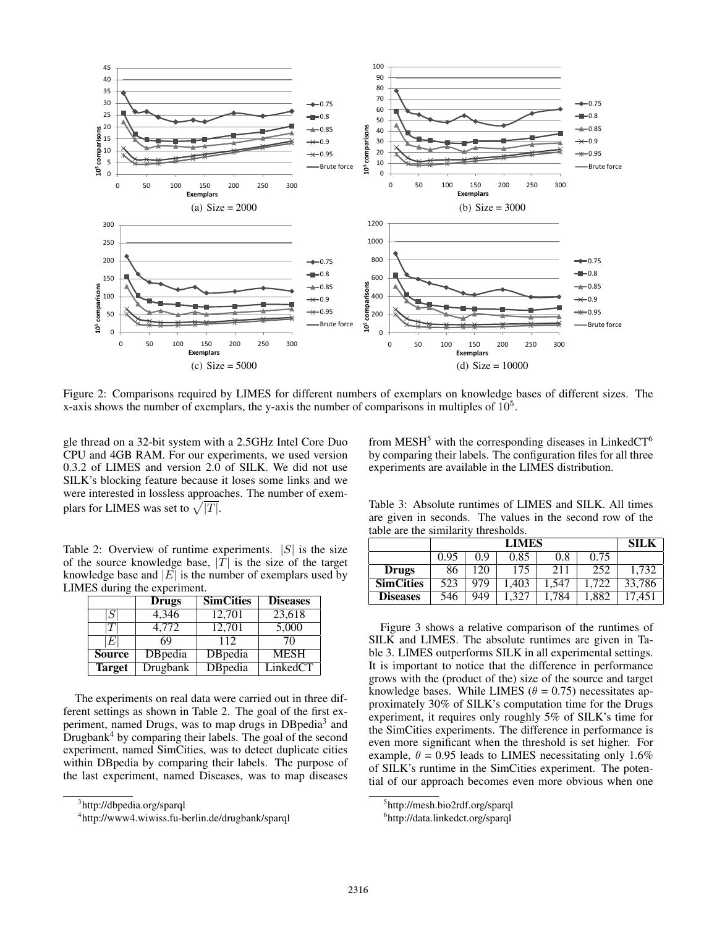

Figure 2: Comparisons required by LIMES for different numbers of exemplars on knowledge bases of different sizes. The x-axis shows the number of exemplars, the y-axis the number of comparisons in multiples of  $10<sup>5</sup>$ .

gle thread on a 32-bit system with a 2.5GHz Intel Core Duo CPU and 4GB RAM. For our experiments, we used version 0.3.2 of LIMES and version 2.0 of SILK. We did not use SILK's blocking feature because it loses some links and we were interested in lossless approaches. The number of exemplars for LIMES was set to  $\sqrt{|T|}$ .

Table 2: Overview of runtime experiments.  $|S|$  is the size of the source knowledge base,  $|T|$  is the size of the target knowledge base and  $|E|$  is the number of exemplars used by LIMES during the experiment.

|               | <b>Drugs</b> | <b>SimCities</b> | <b>Diseases</b> |  |
|---------------|--------------|------------------|-----------------|--|
| $S^1$         | 4,346        | 12,701           | 23,618          |  |
| T             | 4.772        | 12,701           | 5,000           |  |
| $E\vert$      | 69           | 112              | 70              |  |
| <b>Source</b> | DBpedia      | DBpedia          | <b>MESH</b>     |  |
| <b>Target</b> | Drugbank     | DBpedia          | LinkedCT        |  |

The experiments on real data were carried out in three different settings as shown in Table 2. The goal of the first experiment, named Drugs, was to map drugs in DBpedia<sup>3</sup> and Drugbank $4$  by comparing their labels. The goal of the second experiment, named SimCities, was to detect duplicate cities within DBpedia by comparing their labels. The purpose of the last experiment, named Diseases, was to map diseases from MESH<sup>5</sup> with the corresponding diseases in Linked $CT^6$ by comparing their labels. The configuration files for all three experiments are available in the LIMES distribution.

Table 3: Absolute runtimes of LIMES and SILK. All times are given in seconds. The values in the second row of the table are the similarity thresholds.

|                  |      | SH K |       |       |       |        |
|------------------|------|------|-------|-------|-------|--------|
|                  | 0.95 | 0.9  | 0.85  | 0.8   | 0.75  |        |
| Drugs            | 86   | 120  | 175   | 211   | 252   | 1.732  |
| <b>SimCities</b> | 523  | 979  | 1.403 | 1.547 | 1.722 | 33,786 |
| <b>Diseases</b>  | 546  | 949  | 1.327 | 1.784 | 1.882 | 17.451 |

Figure 3 shows a relative comparison of the runtimes of SILK and LIMES. The absolute runtimes are given in Table 3. LIMES outperforms SILK in all experimental settings. It is important to notice that the difference in performance grows with the (product of the) size of the source and target knowledge bases. While LIMES ( $\theta = 0.75$ ) necessitates approximately 30% of SILK's computation time for the Drugs experiment, it requires only roughly 5% of SILK's time for the SimCities experiments. The difference in performance is even more significant when the threshold is set higher. For example,  $\theta = 0.95$  leads to LIMES necessitating only 1.6% of SILK's runtime in the SimCities experiment. The potential of our approach becomes even more obvious when one

<sup>&</sup>lt;sup>3</sup>http://dbpedia.org/sparql

<sup>4</sup> http://www4.wiwiss.fu-berlin.de/drugbank/sparql

<sup>5</sup> http://mesh.bio2rdf.org/sparql

<sup>6</sup> http://data.linkedct.org/sparql